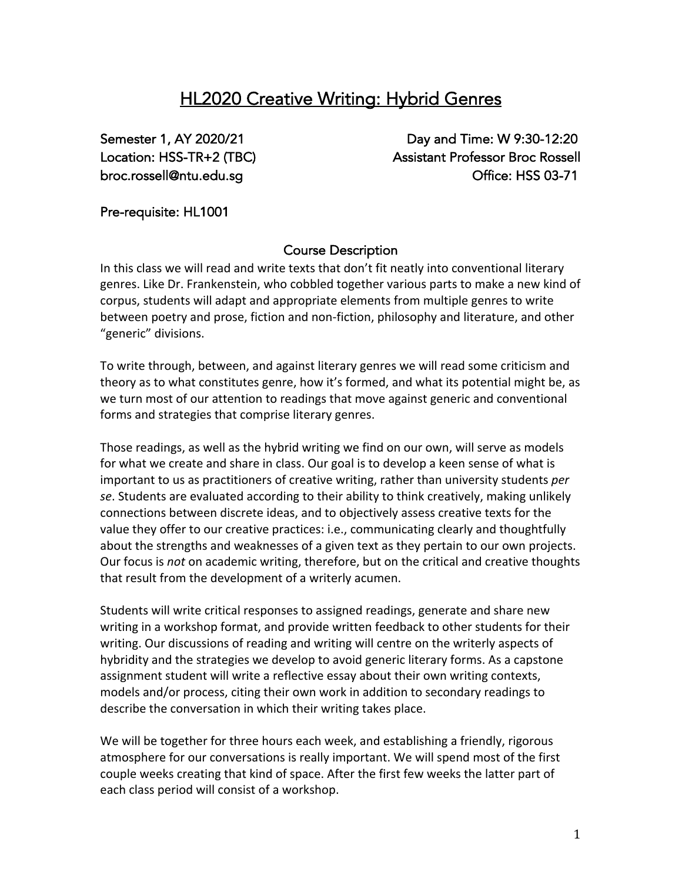# HL2020 Creative Writing: Hybrid Genres

Semester 1, AY 2020/21 Day and Time: W 9:30-12:20 Location: HSS-TR+2 (TBC) Assistant Professor Broc Rossell broc.rossell@ntu.edu.sg Office: HSS 03-71

Pre-requisite: HL1001

# Course Description

In this class we will read and write texts that don't fit neatly into conventional literary genres. Like Dr. Frankenstein, who cobbled together various parts to make a new kind of corpus, students will adapt and appropriate elements from multiple genres to write between poetry and prose, fiction and non-fiction, philosophy and literature, and other "generic" divisions.

To write through, between, and against literary genres we will read some criticism and theory as to what constitutes genre, how it's formed, and what its potential might be, as we turn most of our attention to readings that move against generic and conventional forms and strategies that comprise literary genres.

Those readings, as well as the hybrid writing we find on our own, will serve as models for what we create and share in class. Our goal is to develop a keen sense of what is important to us as practitioners of creative writing, rather than university students *per se*. Students are evaluated according to their ability to think creatively, making unlikely connections between discrete ideas, and to objectively assess creative texts for the value they offer to our creative practices: i.e., communicating clearly and thoughtfully about the strengths and weaknesses of a given text as they pertain to our own projects. Our focus is *not* on academic writing, therefore, but on the critical and creative thoughts that result from the development of a writerly acumen.

Students will write critical responses to assigned readings, generate and share new writing in a workshop format, and provide written feedback to other students for their writing. Our discussions of reading and writing will centre on the writerly aspects of hybridity and the strategies we develop to avoid generic literary forms. As a capstone assignment student will write a reflective essay about their own writing contexts, models and/or process, citing their own work in addition to secondary readings to describe the conversation in which their writing takes place.

We will be together for three hours each week, and establishing a friendly, rigorous atmosphere for our conversations is really important. We will spend most of the first couple weeks creating that kind of space. After the first few weeks the latter part of each class period will consist of a workshop.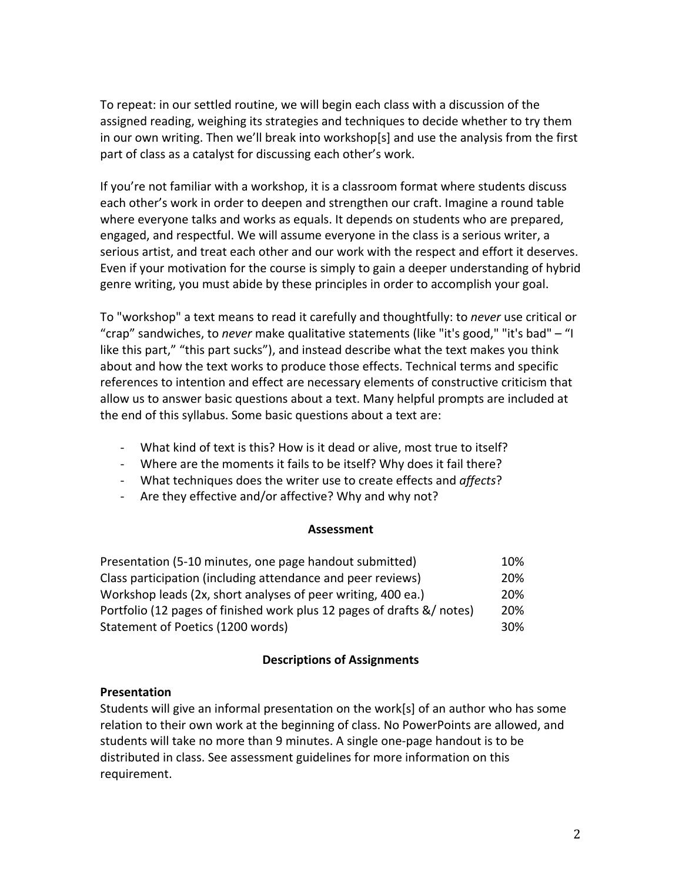To repeat: in our settled routine, we will begin each class with a discussion of the assigned reading, weighing its strategies and techniques to decide whether to try them in our own writing. Then we'll break into workshop[s] and use the analysis from the first part of class as a catalyst for discussing each other's work.

If you're not familiar with a workshop, it is a classroom format where students discuss each other's work in order to deepen and strengthen our craft. Imagine a round table where everyone talks and works as equals. It depends on students who are prepared, engaged, and respectful. We will assume everyone in the class is a serious writer, a serious artist, and treat each other and our work with the respect and effort it deserves. Even if your motivation for the course is simply to gain a deeper understanding of hybrid genre writing, you must abide by these principles in order to accomplish your goal.

To "workshop" a text means to read it carefully and thoughtfully: to *never* use critical or "crap" sandwiches, to *never* make qualitative statements (like "it's good," "it's bad" – "I like this part," "this part sucks"), and instead describe what the text makes you think about and how the text works to produce those effects. Technical terms and specific references to intention and effect are necessary elements of constructive criticism that allow us to answer basic questions about a text. Many helpful prompts are included at the end of this syllabus. Some basic questions about a text are:

- What kind of text is this? How is it dead or alive, most true to itself?
- Where are the moments it fails to be itself? Why does it fail there?
- What techniques does the writer use to create effects and *affects*?
- Are they effective and/or affective? Why and why not?

### **Assessment**

| Presentation (5-10 minutes, one page handout submitted)                | 10%             |
|------------------------------------------------------------------------|-----------------|
| Class participation (including attendance and peer reviews)            | 20%             |
| Workshop leads (2x, short analyses of peer writing, 400 ea.)           | 20%             |
| Portfolio (12 pages of finished work plus 12 pages of drafts &/ notes) | 20%             |
| Statement of Poetics (1200 words)                                      | 30 <sup>%</sup> |

### **Descriptions of Assignments**

### **Presentation**

Students will give an informal presentation on the work[s] of an author who has some relation to their own work at the beginning of class. No PowerPoints are allowed, and students will take no more than 9 minutes. A single one-page handout is to be distributed in class. See assessment guidelines for more information on this requirement.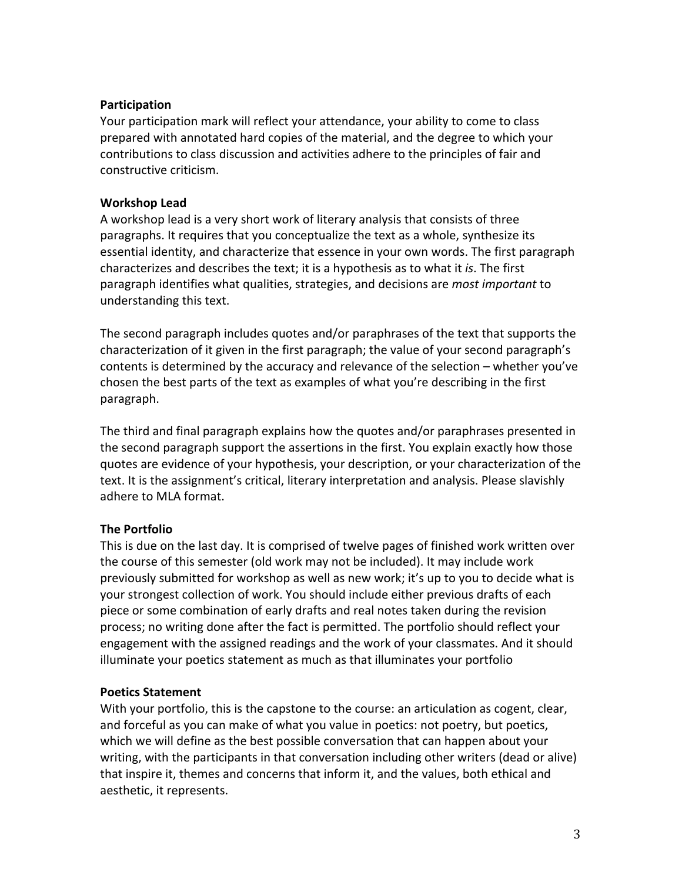### **Participation**

Your participation mark will reflect your attendance, your ability to come to class prepared with annotated hard copies of the material, and the degree to which your contributions to class discussion and activities adhere to the principles of fair and constructive criticism.

### **Workshop Lead**

A workshop lead is a very short work of literary analysis that consists of three paragraphs. It requires that you conceptualize the text as a whole, synthesize its essential identity, and characterize that essence in your own words. The first paragraph characterizes and describes the text; it is a hypothesis as to what it *is*. The first paragraph identifies what qualities, strategies, and decisions are *most important* to understanding this text.

The second paragraph includes quotes and/or paraphrases of the text that supports the characterization of it given in the first paragraph; the value of your second paragraph's contents is determined by the accuracy and relevance of the selection – whether you've chosen the best parts of the text as examples of what you're describing in the first paragraph.

The third and final paragraph explains how the quotes and/or paraphrases presented in the second paragraph support the assertions in the first. You explain exactly how those quotes are evidence of your hypothesis, your description, or your characterization of the text. It is the assignment's critical, literary interpretation and analysis. Please slavishly adhere to MLA format.

# **The Portfolio**

This is due on the last day. It is comprised of twelve pages of finished work written over the course of this semester (old work may not be included). It may include work previously submitted for workshop as well as new work; it's up to you to decide what is your strongest collection of work. You should include either previous drafts of each piece or some combination of early drafts and real notes taken during the revision process; no writing done after the fact is permitted. The portfolio should reflect your engagement with the assigned readings and the work of your classmates. And it should illuminate your poetics statement as much as that illuminates your portfolio

# **Poetics Statement**

With your portfolio, this is the capstone to the course: an articulation as cogent, clear, and forceful as you can make of what you value in poetics: not poetry, but poetics, which we will define as the best possible conversation that can happen about your writing, with the participants in that conversation including other writers (dead or alive) that inspire it, themes and concerns that inform it, and the values, both ethical and aesthetic, it represents.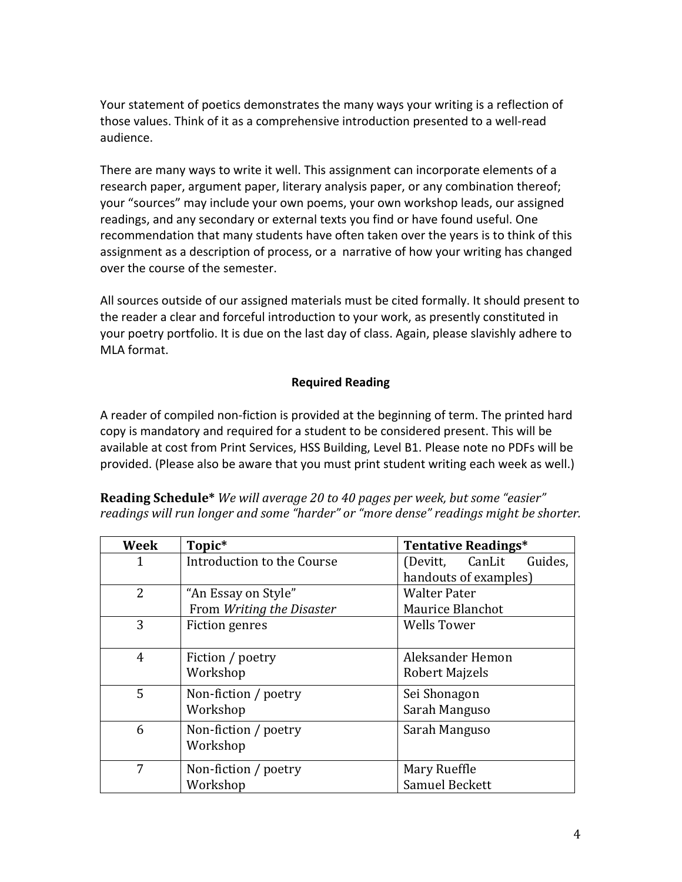Your statement of poetics demonstrates the many ways your writing is a reflection of those values. Think of it as a comprehensive introduction presented to a well-read audience.

There are many ways to write it well. This assignment can incorporate elements of a research paper, argument paper, literary analysis paper, or any combination thereof; your "sources" may include your own poems, your own workshop leads, our assigned readings, and any secondary or external texts you find or have found useful. One recommendation that many students have often taken over the years is to think of this assignment as a description of process, or a narrative of how your writing has changed over the course of the semester.

All sources outside of our assigned materials must be cited formally. It should present to the reader a clear and forceful introduction to your work, as presently constituted in your poetry portfolio. It is due on the last day of class. Again, please slavishly adhere to MLA format.

# **Required Reading**

A reader of compiled non-fiction is provided at the beginning of term. The printed hard copy is mandatory and required for a student to be considered present. This will be available at cost from Print Services, HSS Building, Level B1. Please note no PDFs will be provided. (Please also be aware that you must print student writing each week as well.)

| Week           | Topic*                     | <b>Tentative Readings*</b>    |
|----------------|----------------------------|-------------------------------|
| 1              | Introduction to the Course | CanLit<br>Guides,<br>(Devitt, |
|                |                            | handouts of examples)         |
| $\overline{2}$ | "An Essay on Style"        | <b>Walter Pater</b>           |
|                | From Writing the Disaster  | Maurice Blanchot              |
| 3              | <b>Fiction genres</b>      | <b>Wells Tower</b>            |
|                |                            |                               |
| 4              | Fiction / poetry           | Aleksander Hemon              |
|                | Workshop                   | Robert Majzels                |
| 5              | Non-fiction / poetry       | Sei Shonagon                  |
|                | Workshop                   | Sarah Manguso                 |
| 6              | Non-fiction / poetry       | Sarah Manguso                 |
|                | Workshop                   |                               |
| 7              | Non-fiction / poetry       | Mary Rueffle                  |
|                | Workshop                   | Samuel Beckett                |

**Reading Schedule\*** We will average 20 to 40 pages per week, but some "easier" readings will run longer and some "harder" or "more dense" readings might be shorter.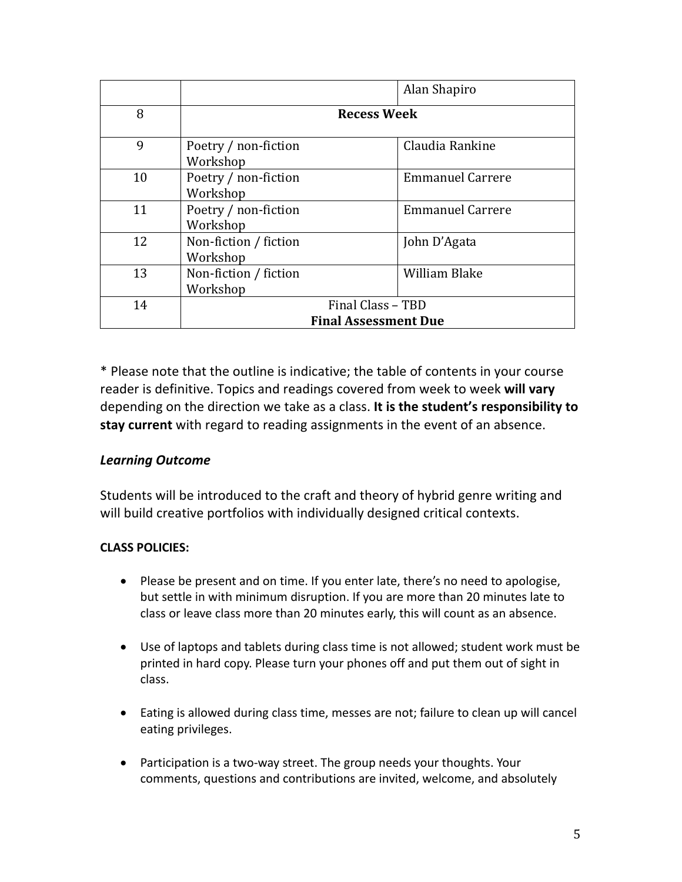|    |                                   | Alan Shapiro            |  |
|----|-----------------------------------|-------------------------|--|
| 8  | <b>Recess Week</b>                |                         |  |
| 9  | Poetry / non-fiction<br>Workshop  | Claudia Rankine         |  |
| 10 | Poetry / non-fiction<br>Workshop  | <b>Emmanuel Carrere</b> |  |
| 11 | Poetry / non-fiction<br>Workshop  | <b>Emmanuel Carrere</b> |  |
| 12 | Non-fiction / fiction<br>Workshop | John D'Agata            |  |
| 13 | Non-fiction / fiction<br>Workshop | <b>William Blake</b>    |  |
| 14 | Final Class - TBD                 |                         |  |
|    | <b>Final Assessment Due</b>       |                         |  |

\* Please note that the outline is indicative; the table of contents in your course reader is definitive. Topics and readings covered from week to week **will vary** depending on the direction we take as a class. **It is the student's responsibility to stay current** with regard to reading assignments in the event of an absence.

# *Learning Outcome*

Students will be introduced to the craft and theory of hybrid genre writing and will build creative portfolios with individually designed critical contexts.

# **CLASS POLICIES:**

- Please be present and on time. If you enter late, there's no need to apologise, but settle in with minimum disruption. If you are more than 20 minutes late to class or leave class more than 20 minutes early, this will count as an absence.
- Use of laptops and tablets during class time is not allowed; student work must be printed in hard copy. Please turn your phones off and put them out of sight in class.
- Eating is allowed during class time, messes are not; failure to clean up will cancel eating privileges.
- Participation is a two-way street. The group needs your thoughts. Your comments, questions and contributions are invited, welcome, and absolutely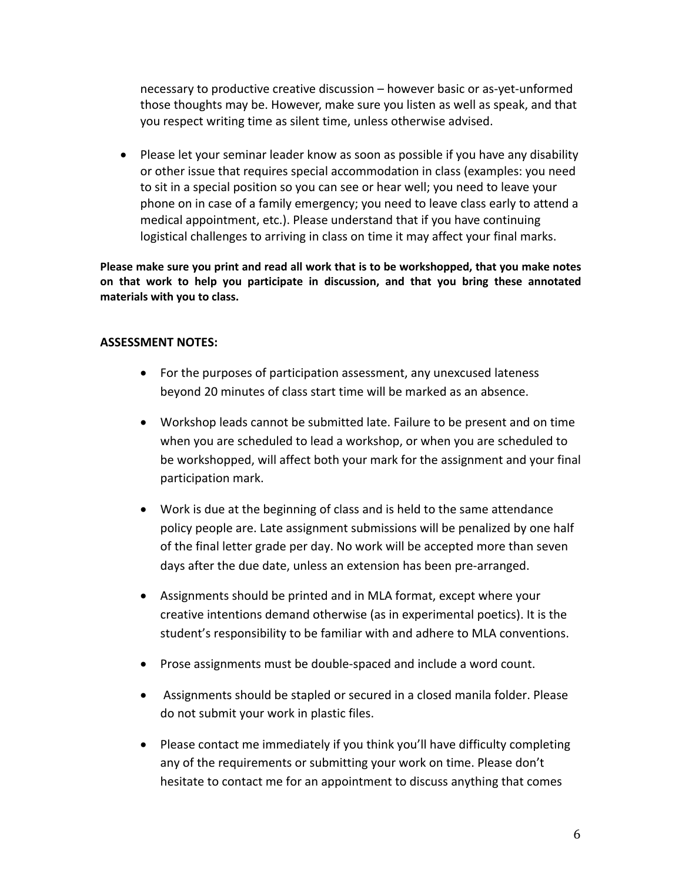necessary to productive creative discussion – however basic or as-yet-unformed those thoughts may be. However, make sure you listen as well as speak, and that you respect writing time as silent time, unless otherwise advised.

• Please let your seminar leader know as soon as possible if you have any disability or other issue that requires special accommodation in class (examples: you need to sit in a special position so you can see or hear well; you need to leave your phone on in case of a family emergency; you need to leave class early to attend a medical appointment, etc.). Please understand that if you have continuing logistical challenges to arriving in class on time it may affect your final marks.

**Please make sure you print and read all work that is to be workshopped, that you make notes on that work to help you participate in discussion, and that you bring these annotated materials with you to class.** 

### **ASSESSMENT NOTES:**

- For the purposes of participation assessment, any unexcused lateness beyond 20 minutes of class start time will be marked as an absence.
- Workshop leads cannot be submitted late. Failure to be present and on time when you are scheduled to lead a workshop, or when you are scheduled to be workshopped, will affect both your mark for the assignment and your final participation mark.
- Work is due at the beginning of class and is held to the same attendance policy people are. Late assignment submissions will be penalized by one half of the final letter grade per day. No work will be accepted more than seven days after the due date, unless an extension has been pre-arranged.
- Assignments should be printed and in MLA format, except where your creative intentions demand otherwise (as in experimental poetics). It is the student's responsibility to be familiar with and adhere to MLA conventions.
- Prose assignments must be double-spaced and include a word count.
- Assignments should be stapled or secured in a closed manila folder. Please do not submit your work in plastic files.
- Please contact me immediately if you think you'll have difficulty completing any of the requirements or submitting your work on time. Please don't hesitate to contact me for an appointment to discuss anything that comes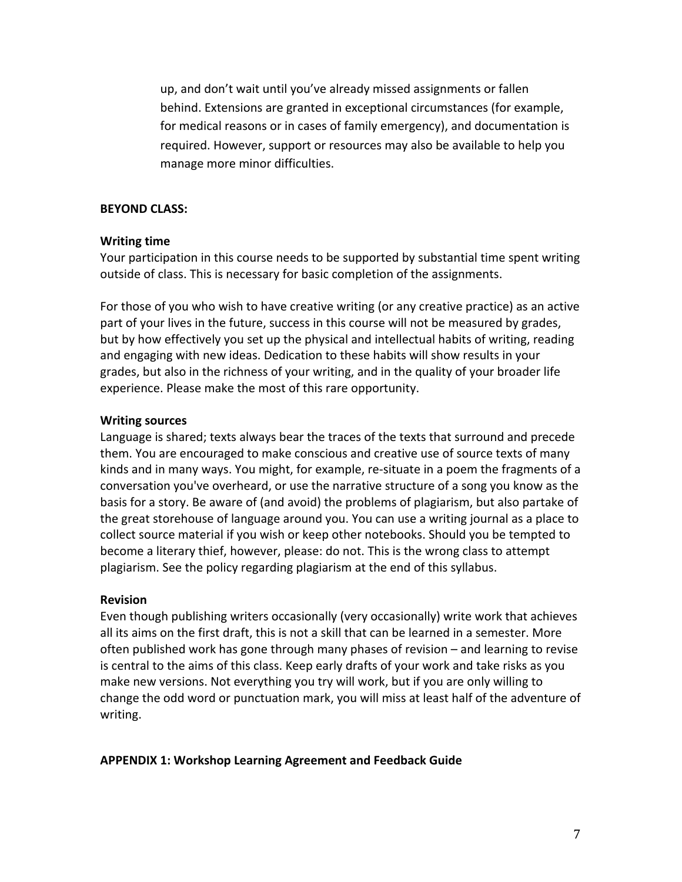up, and don't wait until you've already missed assignments or fallen behind. Extensions are granted in exceptional circumstances (for example, for medical reasons or in cases of family emergency), and documentation is required. However, support or resources may also be available to help you manage more minor difficulties.

#### **BEYOND CLASS:**

#### **Writing time**

Your participation in this course needs to be supported by substantial time spent writing outside of class. This is necessary for basic completion of the assignments.

For those of you who wish to have creative writing (or any creative practice) as an active part of your lives in the future, success in this course will not be measured by grades, but by how effectively you set up the physical and intellectual habits of writing, reading and engaging with new ideas. Dedication to these habits will show results in your grades, but also in the richness of your writing, and in the quality of your broader life experience. Please make the most of this rare opportunity.

#### **Writing sources**

Language is shared; texts always bear the traces of the texts that surround and precede them. You are encouraged to make conscious and creative use of source texts of many kinds and in many ways. You might, for example, re-situate in a poem the fragments of a conversation you've overheard, or use the narrative structure of a song you know as the basis for a story. Be aware of (and avoid) the problems of plagiarism, but also partake of the great storehouse of language around you. You can use a writing journal as a place to collect source material if you wish or keep other notebooks. Should you be tempted to become a literary thief, however, please: do not. This is the wrong class to attempt plagiarism. See the policy regarding plagiarism at the end of this syllabus.

#### **Revision**

Even though publishing writers occasionally (very occasionally) write work that achieves all its aims on the first draft, this is not a skill that can be learned in a semester. More often published work has gone through many phases of revision – and learning to revise is central to the aims of this class. Keep early drafts of your work and take risks as you make new versions. Not everything you try will work, but if you are only willing to change the odd word or punctuation mark, you will miss at least half of the adventure of writing.

#### **APPENDIX 1: Workshop Learning Agreement and Feedback Guide**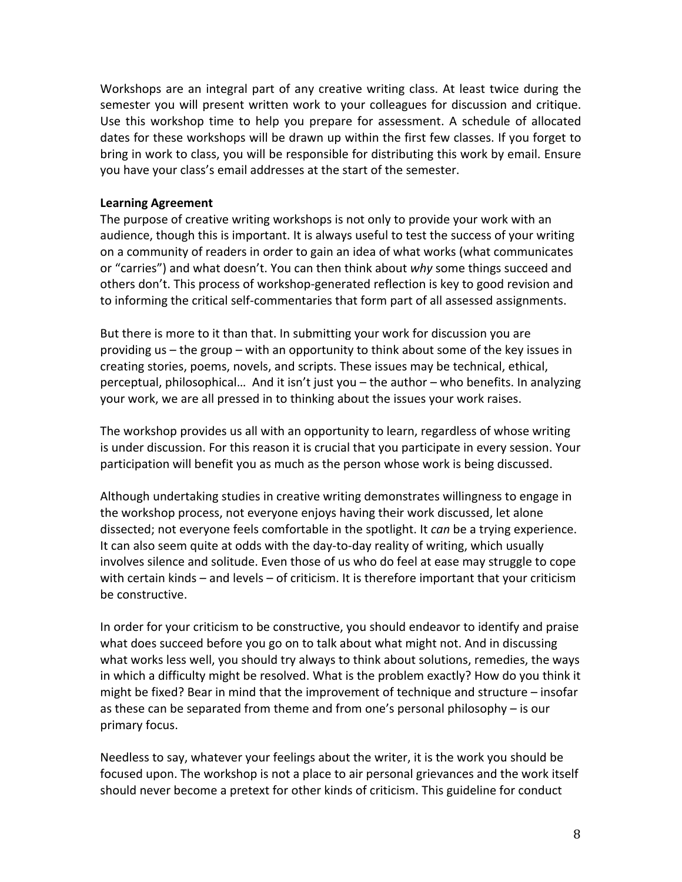Workshops are an integral part of any creative writing class. At least twice during the semester you will present written work to your colleagues for discussion and critique. Use this workshop time to help you prepare for assessment. A schedule of allocated dates for these workshops will be drawn up within the first few classes. If you forget to bring in work to class, you will be responsible for distributing this work by email. Ensure you have your class's email addresses at the start of the semester.

### **Learning Agreement**

The purpose of creative writing workshops is not only to provide your work with an audience, though this is important. It is always useful to test the success of your writing on a community of readers in order to gain an idea of what works (what communicates or "carries") and what doesn't. You can then think about *why* some things succeed and others don't. This process of workshop-generated reflection is key to good revision and to informing the critical self-commentaries that form part of all assessed assignments.

But there is more to it than that. In submitting your work for discussion you are providing us – the group – with an opportunity to think about some of the key issues in creating stories, poems, novels, and scripts. These issues may be technical, ethical, perceptual, philosophical… And it isn't just you – the author – who benefits. In analyzing your work, we are all pressed in to thinking about the issues your work raises.

The workshop provides us all with an opportunity to learn, regardless of whose writing is under discussion. For this reason it is crucial that you participate in every session. Your participation will benefit you as much as the person whose work is being discussed.

Although undertaking studies in creative writing demonstrates willingness to engage in the workshop process, not everyone enjoys having their work discussed, let alone dissected; not everyone feels comfortable in the spotlight. It *can* be a trying experience. It can also seem quite at odds with the day-to-day reality of writing, which usually involves silence and solitude. Even those of us who do feel at ease may struggle to cope with certain kinds – and levels – of criticism. It is therefore important that your criticism be constructive.

In order for your criticism to be constructive, you should endeavor to identify and praise what does succeed before you go on to talk about what might not. And in discussing what works less well, you should try always to think about solutions, remedies, the ways in which a difficulty might be resolved. What is the problem exactly? How do you think it might be fixed? Bear in mind that the improvement of technique and structure – insofar as these can be separated from theme and from one's personal philosophy – is our primary focus.

Needless to say, whatever your feelings about the writer, it is the work you should be focused upon. The workshop is not a place to air personal grievances and the work itself should never become a pretext for other kinds of criticism. This guideline for conduct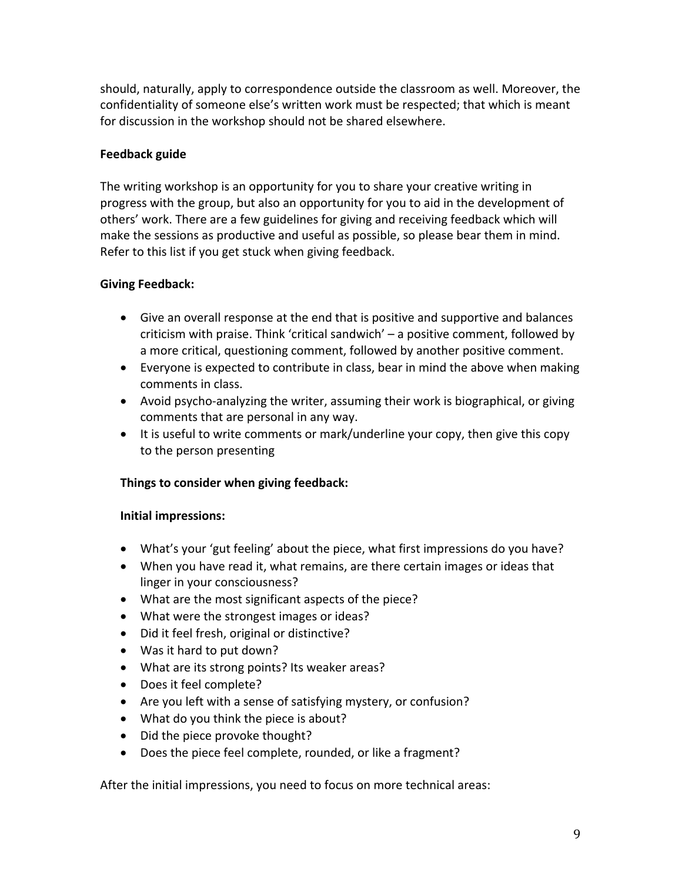should, naturally, apply to correspondence outside the classroom as well. Moreover, the confidentiality of someone else's written work must be respected; that which is meant for discussion in the workshop should not be shared elsewhere.

# **Feedback guide**

The writing workshop is an opportunity for you to share your creative writing in progress with the group, but also an opportunity for you to aid in the development of others' work. There are a few guidelines for giving and receiving feedback which will make the sessions as productive and useful as possible, so please bear them in mind. Refer to this list if you get stuck when giving feedback.

# **Giving Feedback:**

- Give an overall response at the end that is positive and supportive and balances criticism with praise. Think 'critical sandwich' – a positive comment, followed by a more critical, questioning comment, followed by another positive comment.
- Everyone is expected to contribute in class, bear in mind the above when making comments in class.
- Avoid psycho-analyzing the writer, assuming their work is biographical, or giving comments that are personal in any way.
- It is useful to write comments or mark/underline your copy, then give this copy to the person presenting

# **Things to consider when giving feedback:**

# **Initial impressions:**

- What's your 'gut feeling' about the piece, what first impressions do you have?
- When you have read it, what remains, are there certain images or ideas that linger in your consciousness?
- What are the most significant aspects of the piece?
- What were the strongest images or ideas?
- Did it feel fresh, original or distinctive?
- Was it hard to put down?
- What are its strong points? Its weaker areas?
- Does it feel complete?
- Are you left with a sense of satisfying mystery, or confusion?
- What do you think the piece is about?
- Did the piece provoke thought?
- Does the piece feel complete, rounded, or like a fragment?

After the initial impressions, you need to focus on more technical areas: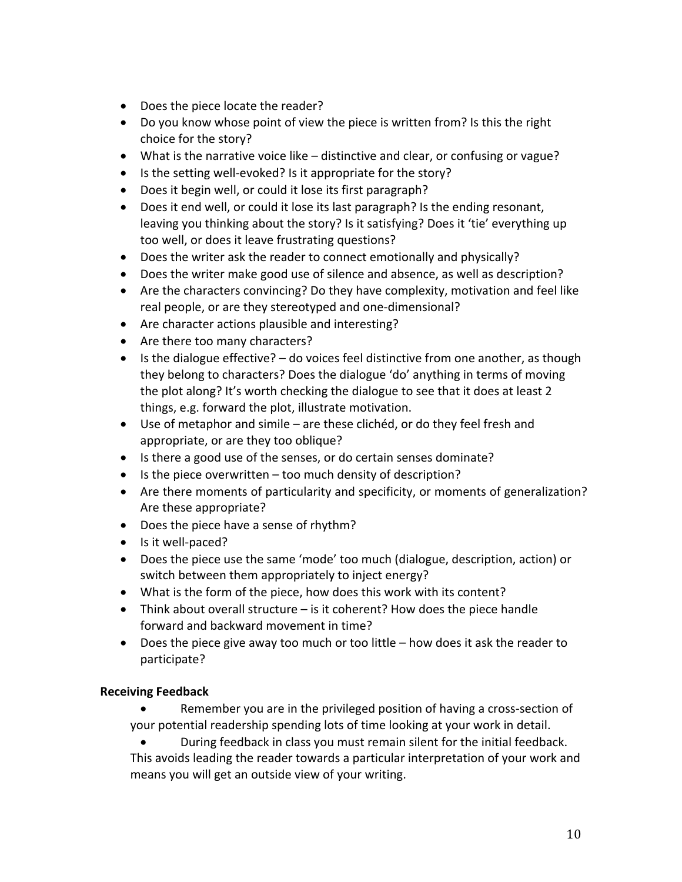- Does the piece locate the reader?
- Do you know whose point of view the piece is written from? Is this the right choice for the story?
- What is the narrative voice like distinctive and clear, or confusing or vague?
- Is the setting well-evoked? Is it appropriate for the story?
- Does it begin well, or could it lose its first paragraph?
- Does it end well, or could it lose its last paragraph? Is the ending resonant, leaving you thinking about the story? Is it satisfying? Does it 'tie' everything up too well, or does it leave frustrating questions?
- Does the writer ask the reader to connect emotionally and physically?
- Does the writer make good use of silence and absence, as well as description?
- Are the characters convincing? Do they have complexity, motivation and feel like real people, or are they stereotyped and one-dimensional?
- Are character actions plausible and interesting?
- Are there too many characters?
- $\bullet$  Is the dialogue effective?  $-$  do voices feel distinctive from one another, as though they belong to characters? Does the dialogue 'do' anything in terms of moving the plot along? It's worth checking the dialogue to see that it does at least 2 things, e.g. forward the plot, illustrate motivation.
- Use of metaphor and simile are these clichéd, or do they feel fresh and appropriate, or are they too oblique?
- Is there a good use of the senses, or do certain senses dominate?
- Is the piece overwritten too much density of description?
- Are there moments of particularity and specificity, or moments of generalization? Are these appropriate?
- Does the piece have a sense of rhythm?
- Is it well-paced?
- Does the piece use the same 'mode' too much (dialogue, description, action) or switch between them appropriately to inject energy?
- What is the form of the piece, how does this work with its content?
- Think about overall structure is it coherent? How does the piece handle forward and backward movement in time?
- Does the piece give away too much or too little how does it ask the reader to participate?

# **Receiving Feedback**

• Remember you are in the privileged position of having a cross-section of your potential readership spending lots of time looking at your work in detail.

• During feedback in class you must remain silent for the initial feedback. This avoids leading the reader towards a particular interpretation of your work and means you will get an outside view of your writing.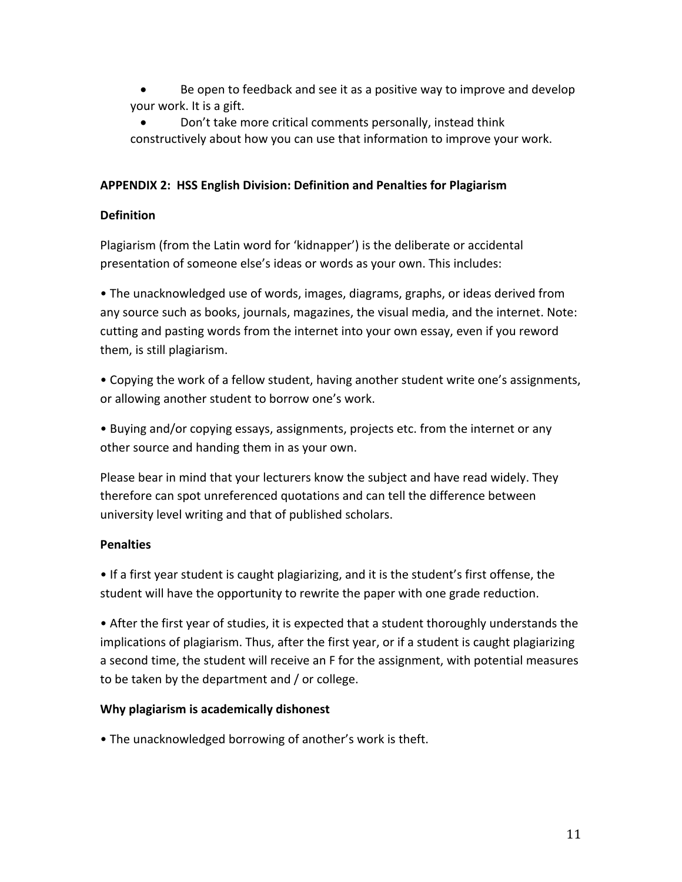- Be open to feedback and see it as a positive way to improve and develop your work. It is a gift.
- Don't take more critical comments personally, instead think constructively about how you can use that information to improve your work.

# **APPENDIX 2: HSS English Division: Definition and Penalties for Plagiarism**

# **Definition**

Plagiarism (from the Latin word for 'kidnapper') is the deliberate or accidental presentation of someone else's ideas or words as your own. This includes:

• The unacknowledged use of words, images, diagrams, graphs, or ideas derived from any source such as books, journals, magazines, the visual media, and the internet. Note: cutting and pasting words from the internet into your own essay, even if you reword them, is still plagiarism.

• Copying the work of a fellow student, having another student write one's assignments, or allowing another student to borrow one's work.

• Buying and/or copying essays, assignments, projects etc. from the internet or any other source and handing them in as your own.

Please bear in mind that your lecturers know the subject and have read widely. They therefore can spot unreferenced quotations and can tell the difference between university level writing and that of published scholars.

# **Penalties**

• If a first year student is caught plagiarizing, and it is the student's first offense, the student will have the opportunity to rewrite the paper with one grade reduction.

• After the first year of studies, it is expected that a student thoroughly understands the implications of plagiarism. Thus, after the first year, or if a student is caught plagiarizing a second time, the student will receive an F for the assignment, with potential measures to be taken by the department and / or college.

# **Why plagiarism is academically dishonest**

• The unacknowledged borrowing of another's work is theft.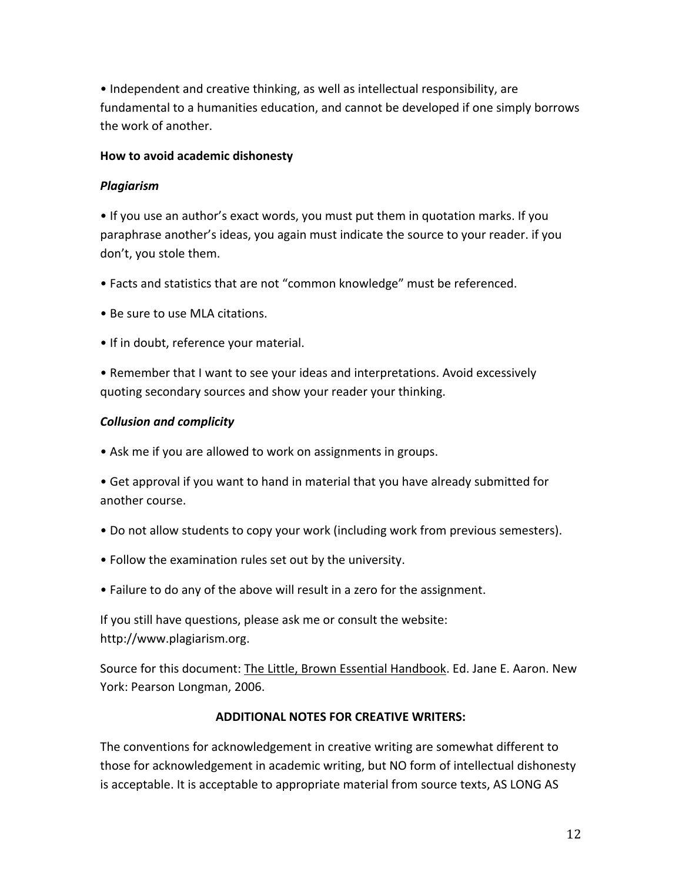• Independent and creative thinking, as well as intellectual responsibility, are fundamental to a humanities education, and cannot be developed if one simply borrows the work of another.

### **How to avoid academic dishonesty**

### *Plagiarism*

• If you use an author's exact words, you must put them in quotation marks. If you paraphrase another's ideas, you again must indicate the source to your reader. if you don't, you stole them.

- Facts and statistics that are not "common knowledge" must be referenced.
- Be sure to use MLA citations.
- If in doubt, reference your material.

• Remember that I want to see your ideas and interpretations. Avoid excessively quoting secondary sources and show your reader your thinking.

### *Collusion and complicity*

• Ask me if you are allowed to work on assignments in groups.

• Get approval if you want to hand in material that you have already submitted for another course.

- Do not allow students to copy your work (including work from previous semesters).
- Follow the examination rules set out by the university.
- Failure to do any of the above will result in a zero for the assignment.

If you still have questions, please ask me or consult the website: http://www.plagiarism.org.

Source for this document: The Little, Brown Essential Handbook. Ed. Jane E. Aaron. New York: Pearson Longman, 2006.

### **ADDITIONAL NOTES FOR CREATIVE WRITERS:**

The conventions for acknowledgement in creative writing are somewhat different to those for acknowledgement in academic writing, but NO form of intellectual dishonesty is acceptable. It is acceptable to appropriate material from source texts, AS LONG AS